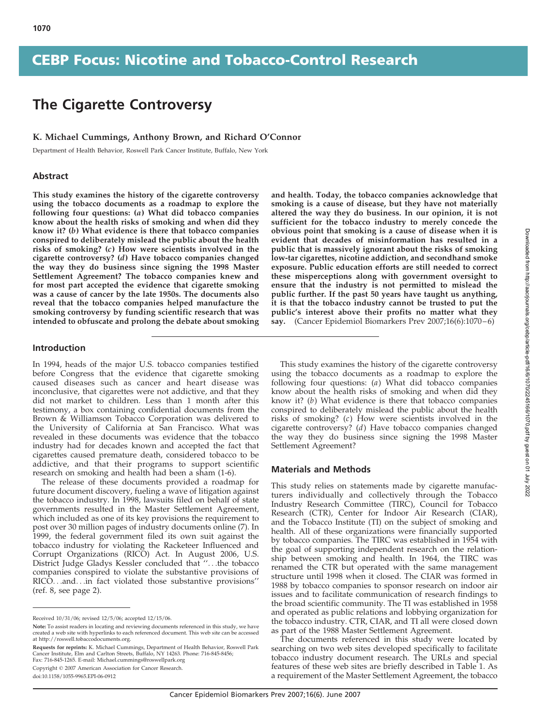# The Cigarette Controversy

#### K. Michael Cummings, Anthony Brown, and Richard O'Connor

Department of Health Behavior, Roswell Park Cancer Institute, Buffalo, New York

#### Abstract

This study examines the history of the cigarette controversy using the tobacco documents as a roadmap to explore the following four questions: (a) What did tobacco companies know about the health risks of smoking and when did they know it? (b) What evidence is there that tobacco companies conspired to deliberately mislead the public about the health risks of smoking? (c) How were scientists involved in the cigarette controversy? (d) Have tobacco companies changed the way they do business since signing the 1998 Master Settlement Agreement? The tobacco companies knew and for most part accepted the evidence that cigarette smoking was a cause of cancer by the late 1950s. The documents also reveal that the tobacco companies helped manufacture the smoking controversy by funding scientific research that was intended to obfuscate and prolong the debate about smoking and health. Today, the tobacco companies acknowledge that smoking is a cause of disease, but they have not materially altered the way they do business. In our opinion, it is not sufficient for the tobacco industry to merely concede the obvious point that smoking is a cause of disease when it is evident that decades of misinformation has resulted in a public that is massively ignorant about the risks of smoking low-tar cigarettes, nicotine addiction, and secondhand smoke exposure. Public education efforts are still needed to correct these misperceptions along with government oversight to ensure that the industry is not permitted to mislead the public further. If the past 50 years have taught us anything, it is that the tobacco industry cannot be trusted to put the public's interest above their profits no matter what they say. (Cancer Epidemiol Biomarkers Prev 2007;16(6):1070-6)

#### Introduction

In 1994, heads of the major U.S. tobacco companies testified before Congress that the evidence that cigarette smoking caused diseases such as cancer and heart disease was inconclusive, that cigarettes were not addictive, and that they did not market to children. Less than 1 month after this testimony, a box containing confidential documents from the Brown & Williamson Tobacco Corporation was delivered to the University of California at San Francisco. What was revealed in these documents was evidence that the tobacco industry had for decades known and accepted the fact that cigarettes caused premature death, considered tobacco to be addictive, and that their programs to support scientific research on smoking and health had been a sham (1-6).

The release of these documents provided a roadmap for future document discovery, fueling a wave of litigation against the tobacco industry. In 1998, lawsuits filed on behalf of state governments resulted in the Master Settlement Agreement, which included as one of its key provisions the requirement to post over 30 million pages of industry documents online (7). In 1999, the federal government filed its own suit against the tobacco industry for violating the Racketeer Influenced and Corrupt Organizations (RICO) Act. In August 2006, U.S. District Judge Gladys Kessler concluded that ''...the tobacco companies conspired to violate the substantive provisions of RICO...and...in fact violated those substantive provisions'' (ref. 8, see page 2).

Copyright © 2007 American Association for Cancer Research.

doi:10.1158/1055-9965.EPI-06-0912

This study examines the history of the cigarette controversy using the tobacco documents as a roadmap to explore the following four questions: (a) What did tobacco companies know about the health risks of smoking and when did they know it?  $(b)$  What evidence is there that tobacco companies conspired to deliberately mislead the public about the health risks of smoking? (c) How were scientists involved in the cigarette controversy? (d) Have tobacco companies changed the way they do business since signing the 1998 Master Settlement Agreement?

#### Materials and Methods

This study relies on statements made by cigarette manufacturers individually and collectively through the Tobacco Industry Research Committee (TIRC), Council for Tobacco Research (CTR), Center for Indoor Air Research (CIAR), and the Tobacco Institute (TI) on the subject of smoking and health. All of these organizations were financially supported by tobacco companies. The TIRC was established in 1954 with the goal of supporting independent research on the relationship between smoking and health. In 1964, the TIRC was renamed the CTR but operated with the same management structure until 1998 when it closed. The CIAR was formed in 1988 by tobacco companies to sponsor research on indoor air issues and to facilitate communication of research findings to the broad scientific community. The TI was established in 1958 and operated as public relations and lobbying organization for the tobacco industry. CTR, CIAR, and TI all were closed down as part of the 1988 Master Settlement Agreement.

The documents referenced in this study were located by searching on two web sites developed specifically to facilitate tobacco industry document research. The URLs and special features of these web sites are briefly described in Table 1. As a requirement of the Master Settlement Agreement, the tobacco Downloaded from http://aacrjournals.org/cebp/article-pdf/16/6/1070/2245166/1070.pdf by guest on 01 July 2022

Received 10/31/06; revised 12/5/06; accepted 12/15/06.

Note: To assist readers in locating and reviewing documents referenced in this study, we have created a web site with hyperlinks to each referenced document. This web site can be accessed at http://roswell.tobaccodocuments.org.

Requests for reprints: K. Michael Cummings, Department of Health Behavior, Roswell Park Cancer Institute, Elm and Carlton Streets, Buffalo, NY 14263. Phone: 716-845-8456; Fax: 716-845-1265. E-mail: Michael.cummings@roswellpark.org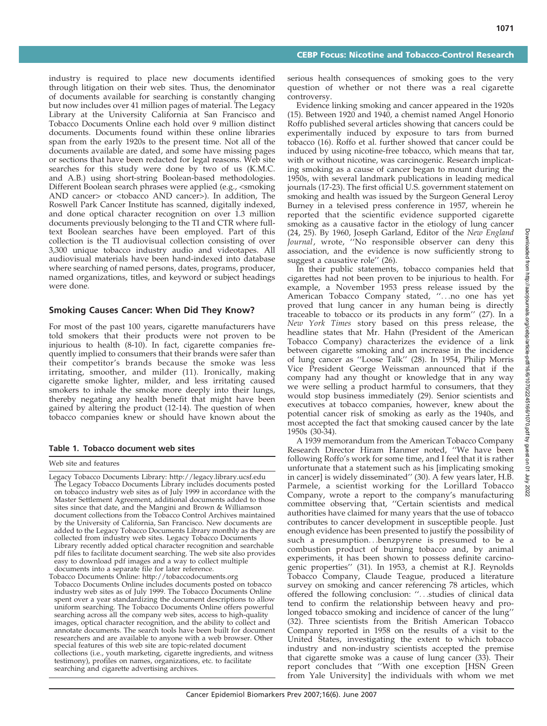industry is required to place new documents identified through litigation on their web sites. Thus, the denominator of documents available for searching is constantly changing but now includes over 41 million pages of material. The Legacy Library at the University California at San Francisco and Tobacco Documents Online each hold over 9 million distinct documents. Documents found within these online libraries span from the early 1920s to the present time. Not all of the documents available are dated, and some have missing pages or sections that have been redacted for legal reasons. Web site searches for this study were done by two of us (K.M.C. and A.B.) using short-string Boolean-based methodologies. Different Boolean search phrases were applied (e.g., <smoking AND cancer> or <tobacco AND cancer>). In addition, The Roswell Park Cancer Institute has scanned, digitally indexed, and done optical character recognition on over 1.3 million documents previously belonging to the TI and CTR where fulltext Boolean searches have been employed. Part of this collection is the TI audiovisual collection consisting of over 3,300 unique tobacco industry audio and videotapes. All audiovisual materials have been hand-indexed into database where searching of named persons, dates, programs, producer, named organizations, titles, and keyword or subject headings were done.

# Smoking Causes Cancer: When Did They Know?

For most of the past 100 years, cigarette manufacturers have told smokers that their products were not proven to be injurious to health (8-10). In fact, cigarette companies frequently implied to consumers that their brands were safer than their competitor's brands because the smoke was less irritating, smoother, and milder (11). Ironically, making cigarette smoke lighter, milder, and less irritating caused smokers to inhale the smoke more deeply into their lungs, thereby negating any health benefit that might have been gained by altering the product (12-14). The question of when tobacco companies knew or should have known about the

#### Table 1. Tobacco document web sites

Web site and features

Tobacco Documents Online: http://tobaccodocuments.org Tobacco Documents Online includes documents posted on tobacco industry web sites as of July 1999. The Tobacco Documents Online spent over a year standardizing the document descriptions to allow uniform searching. The Tobacco Documents Online offers powerful searching across all the company web sites, access to high-quality images, optical character recognition, and the ability to collect and annotate documents. The search tools have been built for document researchers and are available to anyone with a web browser. Other special features of this web site are topic-related document collections (i.e., youth marketing, cigarette ingredients, and witness testimony), profiles on names, organizations, etc. to facilitate searching and cigarette advertising archives.

serious health consequences of smoking goes to the very question of whether or not there was a real cigarette controversy.

Evidence linking smoking and cancer appeared in the 1920s (15). Between 1920 and 1940, a chemist named Angel Honorio Roffo published several articles showing that cancers could be experimentally induced by exposure to tars from burned tobacco (16). Roffo et al. further showed that cancer could be induced by using nicotine-free tobacco, which means that tar, with or without nicotine, was carcinogenic. Research implicating smoking as a cause of cancer began to mount during the 1950s, with several landmark publications in leading medical journals (17-23). The first official U.S. government statement on smoking and health was issued by the Surgeon General Leroy Burney in a televised press conference in 1957, wherein he reported that the scientific evidence supported cigarette smoking as a causative factor in the etiology of lung cancer (24, 25). By 1960, Joseph Garland, Editor of the New England Journal, wrote, "No responsible observer can deny this association, and the evidence is now sufficiently strong to suggest a causative role'' (26).

In their public statements, tobacco companies held that cigarettes had not been proven to be injurious to health. For example, a November 1953 press release issued by the American Tobacco Company stated, ''...no one has yet proved that lung cancer in any human being is directly traceable to tobacco or its products in any form'' (27). In a New York Times story based on this press release, the headline states that Mr. Hahn (President of the American Tobacco Company) characterizes the evidence of a link between cigarette smoking and an increase in the incidence of lung cancer as ''Loose Talk'' (28). In 1954, Philip Morris Vice President George Weissman announced that if the company had any thought or knowledge that in any way we were selling a product harmful to consumers, that they would stop business immediately (29). Senior scientists and executives at tobacco companies, however, knew about the potential cancer risk of smoking as early as the 1940s, and most accepted the fact that smoking caused cancer by the late 1950s (30-34).

A 1939 memorandum from the American Tobacco Company Research Director Hiram Hanmer noted, ''We have been following Roffo's work for some time, and I feel that it is rather unfortunate that a statement such as his [implicating smoking in cancer] is widely disseminated'' (30). A few years later, H.B. Parmele, a scientist working for the Lorillard Tobacco Company, wrote a report to the company's manufacturing committee observing that, ''Certain scientists and medical authorities have claimed for many years that the use of tobacco contributes to cancer development in susceptible people. Just enough evidence has been presented to justify the possibility of such a presumption...benzpyrene is presumed to be a combustion product of burning tobacco and, by animal experiments, it has been shown to possess definite carcinogenic properties'' (31). In 1953, a chemist at R.J. Reynolds Tobacco Company, Claude Teague, produced a literature survey on smoking and cancer referencing 78 articles, which offered the following conclusion: ''...studies of clinical data tend to confirm the relationship between heavy and prolonged tobacco smoking and incidence of cancer of the lung'' (32). Three scientists from the British American Tobacco Company reported in 1958 on the results of a visit to the United States, investigating the extent to which tobacco industry and non-industry scientists accepted the premise that cigarette smoke was a cause of lung cancer (33). Their report concludes that ''With one exception [HSN Green from Yale University] the individuals with whom we met

Legacy Tobacco Documents Library: http://legacy.library.ucsf.edu The Legacy Tobacco Documents Library includes documents posted on tobacco industry web sites as of July 1999 in accordance with the Master Settlement Agreement, additional documents added to those sites since that date, and the Mangini and Brown & Williamson document collections from the Tobacco Control Archives maintained by the University of California, San Francisco. New documents are added to the Legacy Tobacco Documents Library monthly as they are collected from industry web sites. Legacy Tobacco Documents Library recently added optical character recognition and searchable pdf files to facilitate document searching. The web site also provides easy to download pdf images and a way to collect multiple documents into a separate file for later reference.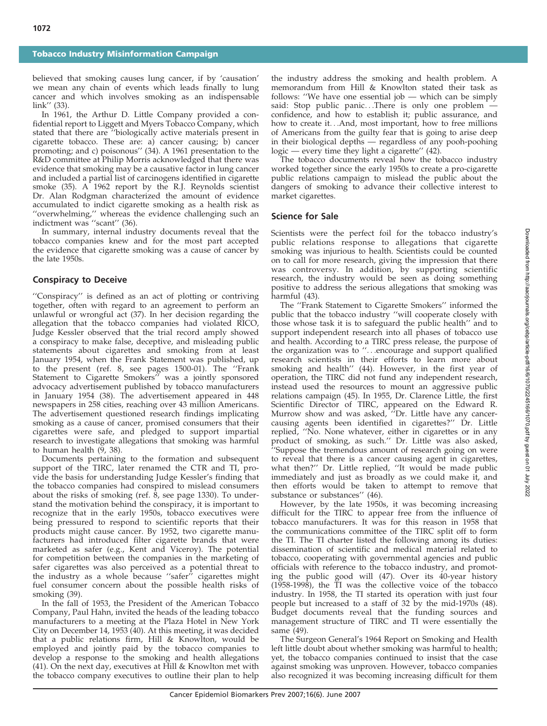# Tobacco Industry Misinformation Campaign

believed that smoking causes lung cancer, if by 'causation' we mean any chain of events which leads finally to lung cancer and which involves smoking as an indispensable link'' (33).

In 1961, the Arthur D. Little Company provided a confidential report to Liggett and Myers Tobacco Company, which stated that there are ''biologically active materials present in cigarette tobacco. These are: a) cancer causing; b) cancer promoting; and c) poisonous'' (34). A 1961 presentation to the R&D committee at Philip Morris acknowledged that there was evidence that smoking may be a causative factor in lung cancer and included a partial list of carcinogens identified in cigarette smoke  $(35)$ . A 1962 report by the R.J. Reynolds scientist Dr. Alan Rodgman characterized the amount of evidence accumulated to indict cigarette smoking as a health risk as ''overwhelming,'' whereas the evidence challenging such an indictment was ''scant'' (36).

In summary, internal industry documents reveal that the tobacco companies knew and for the most part accepted the evidence that cigarette smoking was a cause of cancer by the late 1950s.

# Conspiracy to Deceive

''Conspiracy'' is defined as an act of plotting or contriving together, often with regard to an agreement to perform an unlawful or wrongful act (37). In her decision regarding the allegation that the tobacco companies had violated RICO, Judge Kessler observed that the trial record amply showed a conspiracy to make false, deceptive, and misleading public statements about cigarettes and smoking from at least January 1954, when the Frank Statement was published, up to the present (ref. 8, see pages 1500-01). The ''Frank Statement to Cigarette Smokers'' was a jointly sponsored advocacy advertisement published by tobacco manufacturers in January 1954 (38). The advertisement appeared in 448 newspapers in 258 cities, reaching over 43 million Americans. The advertisement questioned research findings implicating smoking as a cause of cancer, promised consumers that their cigarettes were safe, and pledged to support impartial research to investigate allegations that smoking was harmful to human health  $(\overline{9}, 38)$ .

Documents pertaining to the formation and subsequent support of the TIRC, later renamed the CTR and TI, provide the basis for understanding Judge Kessler's finding that the tobacco companies had conspired to mislead consumers about the risks of smoking (ref. 8, see page 1330). To understand the motivation behind the conspiracy, it is important to recognize that in the early 1950s, tobacco executives were being pressured to respond to scientific reports that their products might cause cancer. By 1952, two cigarette manufacturers had introduced filter cigarette brands that were marketed as safer (e.g., Kent and Viceroy). The potential for competition between the companies in the marketing of safer cigarettes was also perceived as a potential threat to the industry as a whole because ''safer'' cigarettes might fuel consumer concern about the possible health risks of smoking (39).

In the fall of 1953, the President of the American Tobacco Company, Paul Hahn, invited the heads of the leading tobacco manufacturers to a meeting at the Plaza Hotel in New York City on December 14, 1953 (40). At this meeting, it was decided that a public relations firm, Hill & Knowlton, would be employed and jointly paid by the tobacco companies to develop a response to the smoking and health allegations (41). On the next day, executives at Hill & Knowlton met with the tobacco company executives to outline their plan to help

the industry address the smoking and health problem. A memorandum from Hill & Knowlton stated their task as follows: ''We have one essential job — which can be simply said: Stop public panic...There is only one problem confidence, and how to establish it; public assurance, and how to create it...And, most important, how to free millions of Americans from the guilty fear that is going to arise deep in their biological depths — regardless of any pooh-poohing logic — every time they light a cigarette'' (42).

The tobacco documents reveal how the tobacco industry worked together since the early 1950s to create a pro-cigarette public relations campaign to mislead the public about the dangers of smoking to advance their collective interest to market cigarettes.

#### Science for Sale

Scientists were the perfect foil for the tobacco industry's public relations response to allegations that cigarette smoking was injurious to health. Scientists could be counted on to call for more research, giving the impression that there was controversy. In addition, by supporting scientific research, the industry would be seen as doing something positive to address the serious allegations that smoking was harmful (43).

The ''Frank Statement to Cigarette Smokers'' informed the public that the tobacco industry ''will cooperate closely with those whose task it is to safeguard the public health'' and to support independent research into all phases of tobacco use and health. According to a TIRC press release, the purpose of the organization was to ''...encourage and support qualified research scientists in their efforts to learn more about smoking and health'' (44). However, in the first year of operation, the TIRC did not fund any independent research, instead used the resources to mount an aggressive public relations campaign (45). In 1955, Dr. Clarence Little, the first Scientific Director of TIRC, appeared on the Edward R. Murrow show and was asked, "Dr. Little have any cancercausing agents been identified in cigarettes?'' Dr. Little replied, ''No. None whatever, either in cigarettes or in any product of smoking, as such.'' Dr. Little was also asked, ''Suppose the tremendous amount of research going on were to reveal that there is a cancer causing agent in cigarettes, what then?'' Dr. Little replied, ''It would be made public immediately and just as broadly as we could make it, and then efforts would be taken to attempt to remove that substance or substances'' (46).

However, by the late 1950s, it was becoming increasing difficult for the TIRC to appear free from the influence of tobacco manufacturers. It was for this reason in 1958 that the communications committee of the TIRC split off to form the TI. The TI charter listed the following among its duties: dissemination of scientific and medical material related to tobacco, cooperating with governmental agencies and public officials with reference to the tobacco industry, and promoting the public good will (47). Over its 40-year history (1958-1998), the TI was the collective voice of the tobacco industry. In 1958, the TI started its operation with just four people but increased to a staff of 32 by the mid-1970s (48). Budget documents reveal that the funding sources and management structure of TIRC and TI were essentially the same (49).

The Surgeon General's 1964 Report on Smoking and Health left little doubt about whether smoking was harmful to health; yet, the tobacco companies continued to insist that the case against smoking was unproven. However, tobacco companies also recognized it was becoming increasing difficult for them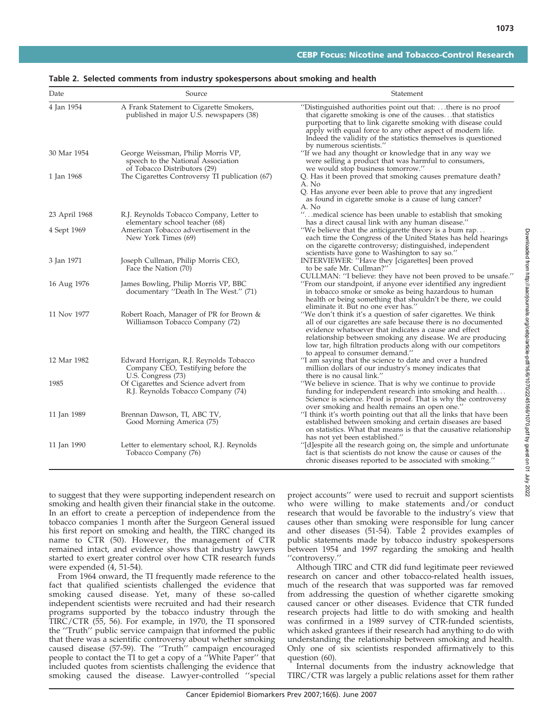| Date          | Source                                                                                                   | Statement                                                                                                                                                                                                                                                                                                                                               |
|---------------|----------------------------------------------------------------------------------------------------------|---------------------------------------------------------------------------------------------------------------------------------------------------------------------------------------------------------------------------------------------------------------------------------------------------------------------------------------------------------|
| 4 Jan 1954    | A Frank Statement to Cigarette Smokers,<br>published in major U.S. newspapers (38)                       | "Distinguished authorities point out that: there is no proof<br>that cigarette smoking is one of the causesthat statistics<br>purporting that to link cigarette smoking with disease could<br>apply with equal force to any other aspect of modern life.<br>Indeed the validity of the statistics themselves is questioned<br>by numerous scientists."  |
| 30 Mar 1954   | George Weissman, Philip Morris VP,<br>speech to the National Association<br>of Tobacco Distributors (29) | "If we had any thought or knowledge that in any way we<br>were selling a product that was harmful to consumers,<br>we would stop business tomorrow."                                                                                                                                                                                                    |
| 1 Jan 1968    | The Cigarettes Controversy TI publication (67)                                                           | Q. Has it been proved that smoking causes premature death?<br>A. No<br>Q. Has anyone ever been able to prove that any ingredient<br>as found in cigarette smoke is a cause of lung cancer?<br>A. No                                                                                                                                                     |
| 23 April 1968 | R.J. Reynolds Tobacco Company, Letter to<br>elementary school teacher (68)                               | "medical science has been unable to establish that smoking<br>has a direct causal link with any human disease."                                                                                                                                                                                                                                         |
| 4 Sept 1969   | American Tobacco advertisement in the<br>New York Times (69)                                             | "We believe that the anticigarette theory is a bum rap<br>each time the Congress of the United States has held hearings<br>on the cigarette controversy; distinguished, independent<br>scientists have gone to Washington to say so."                                                                                                                   |
| 3 Jan 1971    | Joseph Cullman, Philip Morris CEO,<br>Face the Nation (70)                                               | INTERVIEWER: "Have they [cigarettes] been proved<br>to be safe Mr. Cullman?"<br>CULLMAN: "I believe: they have not been proved to be unsafe."                                                                                                                                                                                                           |
| 16 Aug 1976   | James Bowling, Philip Morris VP, BBC<br>documentary "Death In The West." (71)                            | "From our standpoint, if anyone ever identified any ingredient<br>in tobacco smoke or smoke as being hazardous to human<br>health or being something that shouldn't be there, we could<br>eliminate it. But no one ever has."                                                                                                                           |
| 11 Nov 1977   | Robert Roach, Manager of PR for Brown &<br>Williamson Tobacco Company (72)                               | "We don't think it's a question of safer cigarettes. We think<br>all of our cigarettes are safe because there is no documented<br>evidence whatsoever that indicates a cause and effect<br>relationship between smoking any disease. We are producing<br>low tar, high filtration products along with our competitors<br>to appeal to consumer demand." |
| 12 Mar 1982   | Edward Horrigan, R.J. Reynolds Tobacco<br>Company CEO, Testifying before the<br>U.S. Congress (73)       | "I am saying that the science to date and over a hundred<br>million dollars of our industry's money indicates that<br>there is no causal link."                                                                                                                                                                                                         |
| 1985          | Of Cigarettes and Science advert from<br>R.J. Reynolds Tobacco Company (74)                              | "We believe in science. That is why we continue to provide<br>funding for independent research into smoking and health<br>Science is science. Proof is proof. That is why the controversy<br>over smoking and health remains an open one."                                                                                                              |
| 11 Jan 1989   | Brennan Dawson, TI, ABC TV,<br>Good Morning America (75)                                                 | "I think it's worth pointing out that all the links that have been<br>established between smoking and certain diseases are based<br>on statistics. What that means is that the causative relationship<br>has not yet been established."                                                                                                                 |
| 11 Jan 1990   | Letter to elementary school, R.J. Reynolds<br>Tobacco Company (76)                                       | "[d]espite all the research going on, the simple and unfortunate<br>fact is that scientists do not know the cause or causes of the<br>chronic diseases reported to be associated with smoking."                                                                                                                                                         |

Table 2. Selected comments from industry spokespersons about smoking and health

to suggest that they were supporting independent research on smoking and health given their financial stake in the outcome. In an effort to create a perception of independence from the tobacco companies 1 month after the Surgeon General issued his first report on smoking and health, the TIRC changed its name to CTR (50). However, the management of CTR remained intact, and evidence shows that industry lawyers started to exert greater control over how CTR research funds were expended (4, 51-54).

From 1964 onward, the TI frequently made reference to the fact that qualified scientists challenged the evidence that smoking caused disease. Yet, many of these so-called independent scientists were recruited and had their research programs supported by the tobacco industry through the TIRC/CTR (55, 56). For example, in 1970, the TI sponsored the ''Truth'' public service campaign that informed the public that there was a scientific controversy about whether smoking caused disease (57-59). The ''Truth'' campaign encouraged people to contact the TI to get a copy of a ''White Paper'' that included quotes from scientists challenging the evidence that smoking caused the disease. Lawyer-controlled ''special

project accounts'' were used to recruit and support scientists who were willing to make statements and/or conduct research that would be favorable to the industry's view that causes other than smoking were responsible for lung cancer and other diseases  $(51-54)$ . Table 2 provides examples of public statements made by tobacco industry spokespersons between 1954 and 1997 regarding the smoking and health ''controversy.''

Although TIRC and CTR did fund legitimate peer reviewed research on cancer and other tobacco-related health issues, much of the research that was supported was far removed from addressing the question of whether cigarette smoking caused cancer or other diseases. Evidence that CTR funded research projects had little to do with smoking and health was confirmed in a 1989 survey of CTR-funded scientists, which asked grantees if their research had anything to do with understanding the relationship between smoking and health. Only one of six scientists responded affirmatively to this question (60).

Internal documents from the industry acknowledge that TIRC/CTR was largely a public relations asset for them rather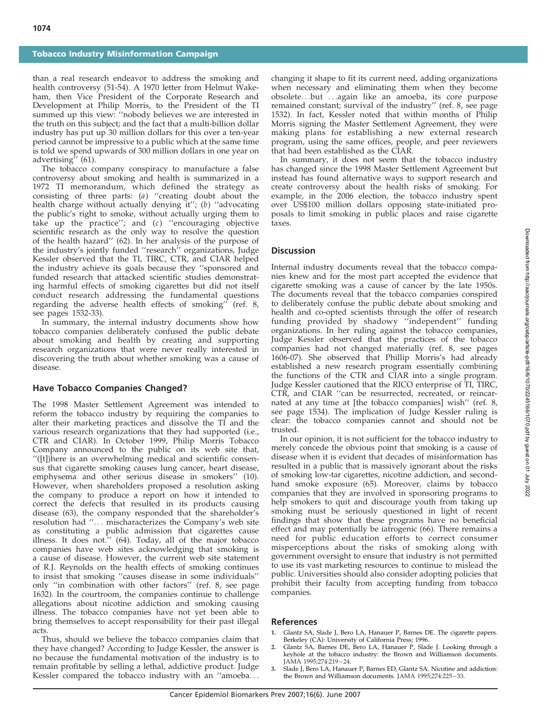#### Tobacco Industry Misinformation Campaign

than a real research endeavor to address the smoking and health controversy (51-54). A 1970 letter from Helmut Wakeham, then Vice President of the Corporate Research and Development at Philip Morris, to the President of the TI summed up this view: ''nobody believes we are interested in the truth on this subject; and the fact that a multi-billion dollar industry has put up 30 million dollars for this over a ten-year period cannot be impressive to a public which at the same time is told we spend upwards of 300 million dollars in one year on advertising'' (61).

The tobacco company conspiracy to manufacture a false controversy about smoking and health is summarized in a 1972 TI memorandum, which defined the strategy as consisting of three parts: (a) ''creating doubt about the health charge without actually denying it"; (b) "advocating the public's right to smoke, without actually urging them to take up the practice"; and  $(c)$  "encouraging objective scientific research as the only way to resolve the question of the health hazard'' (62). In her analysis of the purpose of the industry's jointly funded ''research'' organizations, Judge Kessler observed that the TI, TIRC, CTR, and CIAR helped the industry achieve its goals because they ''sponsored and funded research that attacked scientific studies demonstrating harmful effects of smoking cigarettes but did not itself conduct research addressing the fundamental questions regarding the adverse health effects of smoking'' (ref. 8, see pages 1532-33).

In summary, the internal industry documents show how tobacco companies deliberately confused the public debate about smoking and health by creating and supporting research organizations that were never really interested in discovering the truth about whether smoking was a cause of disease.

# Have Tobacco Companies Changed?

The 1998 Master Settlement Agreement was intended to reform the tobacco industry by requiring the companies to alter their marketing practices and dissolve the TI and the various research organizations that they had supported (i.e., CTR and CIAR). In October 1999, Philip Morris Tobacco Company announced to the public on its web site that, ''([t])here is an overwhelming medical and scientific consensus that cigarette smoking causes lung cancer, heart disease, emphysema and other serious disease in smokers'' (10). However, when shareholders proposed a resolution asking the company to produce a report on how it intended to correct the defects that resulted in its products causing disease (63), the company responded that the shareholder's resolution had ''... mischaracterizes the Company's web site as constituting a public admission that cigarettes cause illness. It does not.'' (64). Today, all of the major tobacco companies have web sites acknowledging that smoking is a cause of disease. However, the current web site statement of R.J. Reynolds on the health effects of smoking continues to insist that smoking ''causes disease in some individuals'' only ''in combination with other factors'' (ref. 8, see page 1632). In the courtroom, the companies continue to challenge allegations about nicotine addiction and smoking causing illness. The tobacco companies have not yet been able to bring themselves to accept responsibility for their past illegal acts.

Thus, should we believe the tobacco companies claim that they have changed? According to Judge Kessler, the answer is no because the fundamental motivation of the industry is to remain profitable by selling a lethal, addictive product. Judge Kessler compared the tobacco industry with an ''amoeba...

changing it shape to fit its current need, adding organizations when necessary and eliminating them when they become obsolete...but ...again like an amoeba, its core purpose remained constant; survival of the industry'' (ref. 8, see page 1532). In fact, Kessler noted that within months of Philip Morris signing the Master Settlement Agreement, they were making plans for establishing a new external research program, using the same offices, people, and peer reviewers that had been established as the CIAR.

In summary, it does not seem that the tobacco industry has changed since the 1998 Master Settlement Agreement but instead has found alternative ways to support research and create controversy about the health risks of smoking. For example, in the 2006 election, the tobacco industry spent over US\$100 million dollars opposing state-initiated proposals to limit smoking in public places and raise cigarette taxes.

#### **Discussion**

Internal industry documents reveal that the tobacco companies knew and for the most part accepted the evidence that cigarette smoking was a cause of cancer by the late 1950s. The documents reveal that the tobacco companies conspired to deliberately confuse the public debate about smoking and health and co-opted scientists through the offer of research funding provided by shadowy ''independent'' funding organizations. In her ruling against the tobacco companies, Judge Kessler observed that the practices of the tobacco companies had not changed materially (ref. 8, see pages 1606-07). She observed that Phillip Morris's had already established a new research program essentially combining the functions of the CTR and CIAR into a single program. Judge Kessler cautioned that the RICO enterprise of TI, TIRC, CTR, and CIAR ''can be resurrected, recreated, or reincarnated at any time at [the tobacco companies] wish'' (ref. 8, see page 1534). The implication of Judge Kessler ruling is clear: the tobacco companies cannot and should not be trusted.

In our opinion, it is not sufficient for the tobacco industry to merely concede the obvious point that smoking is a cause of disease when it is evident that decades of misinformation has resulted in a public that is massively ignorant about the risks of smoking low-tar cigarettes, nicotine addiction, and secondhand smoke exposure (65). Moreover, claims by tobacco companies that they are involved in sponsoring programs to help smokers to quit and discourage youth from taking up smoking must be seriously questioned in light of recent findings that show that these programs have no beneficial effect and may potentially be iatrogenic (66). There remains a need for public education efforts to correct consumer misperceptions about the risks of smoking along with government oversight to ensure that industry is not permitted to use its vast marketing resources to continue to mislead the public. Universities should also consider adopting policies that prohibit their faculty from accepting funding from tobacco companies.

#### References

- Glantz SA, Slade J, Bero LA, Hanauer P, Barnes DE. The cigarette papers.
- Berkeley (CA): University of California Press; 1996. 2. Glantz SA, Barnes DE, Bero LA, Hanauer P, Slade J. Looking through a keyhole at the tobacco industry: the Brown and Williamson documents. JAMA 1995;274:219 – 24.
- 3. Slade J, Bero LA, Hanauer P, Barnes ED, Glantz SA. Nicotine and addiction: the Brown and Williamson documents. JAMA 1995;274:225 – 33.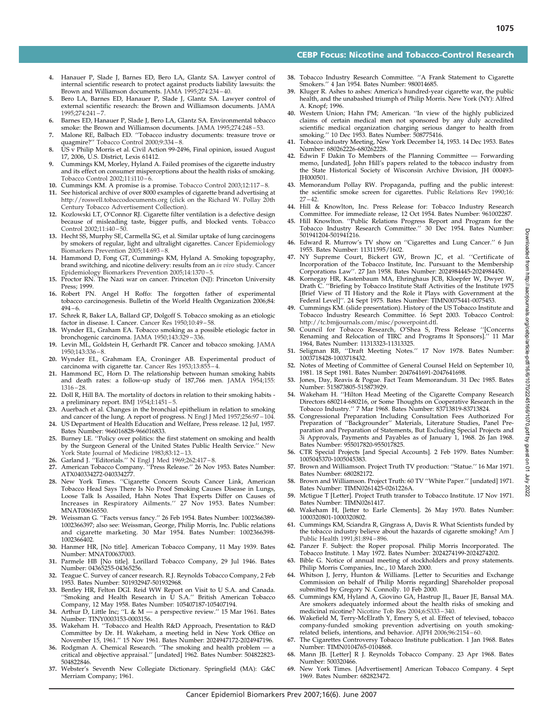- 4. Hanauer P, Slade J, Barnes ED, Bero LA, Glantz SA. Lawyer control of internal scientific research to protect against products liability lawsuits: the Brown and Williamson documents. JAMA 1995;274:234 – 40.
- 5. Bero LA, Barnes ED, Hanauer P, Slade J, Glantz SA. Lawyer control of external scientific research: the Brown and Williamson documents. JAMA 1995;274:241 – 7.
- 6. Barnes ED, Hanauer P, Slade J, Bero LA, Glantz SA. Environmental tobacco smoke: the Brown and Williamson documents. JAMA 1995;274:248 – 53.
- 7. Malone RE, Balbach ED. ''Tobacco industry documents: treasure trove or quagmire?'' Tobacco Control 2000;9:334 8.
- US v Philip Morris et al. Civil Action 99-2496, Final opinion, issued August 17, 2006, U.S. District, Lexis 61412.
- 9. Cummings KM, Morley, Hyland A. Failed promises of the cigarette industry and its effect on consumer misperceptions about the health risks of smoking. Tobacco Control 2002;11:i110-6.
- 10. Cummings KM. A promise is a promise. Tobacco Control 2003;12:117 8.
- See historical archive of over 8000 examples of cigarette brand advertising at http://roswell.tobaccodocuments.org (click on the Richard W. Pollay 20th Century Tobacco Advertisement Collection).
- 12. Kozlowski LT, O'Connor RJ. Cigarette filter ventilation is a defective design because of misleading taste, bigger puffs, and blocked vents. Tobacco Control 2002;11:i40 – 50.
- 13. Hecht SS, Murphy SE, Carmella SG, et al. Similar uptake of lung carcinogens by smokers of regular, light and ultralight cigarettes. Cancer Epidemiology Biomarkers Prevention 2005;14:693 – 8.
- 14. Hammond D, Fong GT, Cummings KM, Hyland A. Smoking topography, brand switching, and nicotine delivery: results from an in vivo study. Cancer
- Epidemiology Biomarkers Prevention 2005;14:1370 5. 15. Proctor RN. The Nazi war on cancer. Princeton (NJ): Princeton University Press; 1999.
- 16. Robert PN. Angel H Roffo: The forgotten father of experimental tobacco carcinogenesis. Bulletin of the World Health Organization 2006;84:  $494 - 6$
- 17. Schrek R, Baker LA, Ballard GP, Dolgoff S. Tobacco smoking as an etiologic factor in disease. I. Cancer. Cancer Res 1950;10:49 – 58.
- 18. Wynder EL, Graham EA. Tobacco smoking as a possible etiologic factor in bronchogenic carcinoma. JAMA 1950;143:329 336.
- 19. Levin ML, Goldstein H, Gerhardt PR. Cancer and tobacco smoking. JAMA 1950;143:336 – 8.
- 20. Wynder EL, Grahmam EA, Croninger AB. Experimental product of carcinoma with cigarette tar. Cancer Res 1953;13:855 – 4.
- 21. Hammond EC, Horn D. The relationship between human smoking habits and death rates: a follow-up study of 187,766 men. JAMA 1954;155: 1316 – 28.
- 22. Doll R, Hill BA. The mortality of doctors in relation to their smoking habits a preliminary report. BMJ 1954;I:1451 – 5.
- 23. Auerbach et al. Changes in the bronchial epithelium in relation to smoking and cancer of the lung. A report of progress. N Engl J Med 1957;256:97 104.
- 24. US Department of Health Education and Welfare, Press release. 12Jul, 1957. Bates Number: 966016828-966016833.
- 25. Burney LE. ''Policy over politics: the first statement on smoking and health by the Surgeon General of the United States Public Health Service.'' New York State Journal of Medicine 1983;83:12– 13.
- 
- 26. Garland J. ''Editorials.'' N Engl J Med 1969;262:417 8. 27. American Tobacco Company. ''Press Release.'' 26 Nov 1953. Bates Number: ATX040334272-040334277.
- 28. New York Times. ''Cigarette Concern Scouts Cancer Link, American Tobacco Head Says There Is No Proof Smoking Causes Disease in Lungs, Loose Talk Is Assailed, Hahn Notes That Experts Differ on Causes of Increases in Respiratory Ailments.'' 27 Nov 1953. Bates Number: MNAT00616550.
- 29. Weissman G. ''Facts versus fancy.'' 26 Feb 1954. Bates Number: 1002366389- 1002366397; also see: Weissman, George, Philip Morris, Inc. Public relations and cigarette marketing. 30 Mar 1954. Bates Number: 1002366398- 1002366402.
- 30. Hanmer HR, [No title]. American Tobacco Company, 11 May 1939. Bates Number: MNAT00637003.
- 31. Parmele HB [No title]. Lorillard Tobacco Company, 29 Jul 1946. Bates Number: 04365255-04365256.
- 32. Teague C. Survey of cancer research. R.J. Reynolds Tobacco Company, 2 Feb 1953. Bates Number: 501932947-501932968.
- 33. Bentley HR, Felton DGI. Reid WW Report on Visit to U S.A. and Canada. ''Smoking and Health Research in U S.A.'' British American Tobacco Company, 12May 1958. Bates Number: 105407187-105407194.
- 34. Arthur D, Little Inc; ''L & M a perspective review.'' 15 Mar 1961. Bates Number: TINY0003153-0003156.
- 35. Wakeham H. ''Tobacco and Health R&D Approach, Presentation to R&D Committee by Dr. H. Wakeham, a meeting held in New York Office on November 15, 1961.'' 15 Nov 1961. Bates Number: 2024947172-2024947196.
- 36. Rodgman A. Chemical Research. ''The smoking and health problem a critical and objective appraisal.'' [undated] 1962. Bates Number: 504822823- 504822846.
- 37. Webster's Seventh New Collegiate Dictionary. Springfield (MA): G&C Merriam Company; 1961.
- 38. Tobacco Industry Research Committee. ''A Frank Statement to Cigarette Smokers.'' 4 Jan 1954. Bates Number: 980014685.
- Kluger R. Ashes to ashes: America's hundred-year cigarette war, the public health, and the unabashed triumph of Philip Morris. New York (NY): Alfred A. Knopf; 1996.
- Western Union; Hahn PM; American. "In view of the highly publicized claims of certain medical men not sponsored by any duly accredited scientific medical organization charging serious danger to health from smoking.'' 10 Dec 1953. Bates Number: 508775416.
- 41. Tobacco industry Meeting, New York December 14, 1953. 14 Dec 1953. Bates Number: 680262226-680262228.
- 42. Edwin F Dakin To Members of the Planning Committee Forwarding memo, [undated], John Hill's papers related to the tobacco industry from the State Historical Society of Wisconsin Archive Division, JH 000493-JH000501.
- 43. Memorandum Pollay RW. Propaganda, puffing and the public interest: the scientific smoke screen for cigarettes. Public Relations Rev 1990;16:  $27 - 42.$
- 44. Hill & Knowlton, Inc. Press Release for: Tobacco Industry Research
- Committee. For immediate release, 12 Oct 1954. Bates Number: 961002287. 45. Hill Knowlton. ''Public Relations Progress Report and Program for the Tobacco Industry Research Committee.'' 30 Dec 1954. Bates Number: 501941204-501941216.
- 46. Edward R. Murrow's TV show on ''Cigarettes and Lung Cancer.'' 6 Jun 1955. Bates Number: 11311595/1602.
- 47. NY Supreme Court, Bickert GW, Brown JC, et al. ''Certificate of Incorporation of the Tobacco Institute, Inc. Pursuant to the Membership Corporations Law''. 27 Jan 1958. Bates Number: 2024984445-2024984450.
- 48. Kornegay HR, Kastenbaum MA, Ehringhaus JCB, Kloepfer W, Dwyer W, Drath C. ''Briefing by Tobacco Institute Staff Activities of the Institute 1975 [Brief View of TI History and the Role it Plays with Government at the Federal Level]''. 24 Sept 1975. Bates Number: TIMN0075441-0075453.
- Cummings KM. (slide presentation). History of the US Tobacco Institute and Tobacco Industry Research Committee. 16 Sept 2003. Tobacco Control: http://tc.bmjjournals.com/misc/powerpoint.dtl.
- 50. Council for Tobacco Research, O'Shea S, Press Release ''[Concerns Renaming and Relocation of TIRC and Programs It Sponsors].'' 11 Mar 1964, Bates Number: 11313323-11313325.
- 51. Seligman RB, ''Draft Meeting Notes.'' 17 Nov 1978. Bates Number: 1003718428-1003718432.
- 52. Notes of Meeting of Committee of General Counsel Held on September 10, 1981. 18 Sept 1981. Bates Number: 2047641691-2047641698.
- 53. Jones, Day, Reavis & Pogue. Fact Team Memorandum. 31 Dec 1985. Bates Number: 515873805-515873929.
- 54. Wakeham H. ''Hilton Head Meeting of the Cigarette Company Research Directors 680214-680216, or Some Thoughts on Cooperative Research in the Tobacco Industry.'' 7 Mar 1968. Bates Number: 83713819-83713824.
- 55. Congressional Preparation Including Consultation Fees Authorized For Preparation of "Backgrounder" Materials, Literature Studies, Panel Preparation and Preparation of Statements, But Excluding Special Projects and 3i Approvals, Payments and Payables as of January 1, 1968. 26 Jan 1968. Bates Number: 955017820-955017825.
- 56. CTR Special Projects [and Special Accounts]. 2 Feb 1979. Bates Number: 1005045370-1005045383.
- 57. Brown and Williamson. Project Truth TV production: ''Statue.'' 16 Mar 1971. Bates Number: 680282172.
- 58. Brown and Williamson. Project Truth: 60 TV ''White Paper.'' [undated] 1971. Bates Number: TIMN0261425-0261226A.
- 59. Mctigue T [Letter]. Project Truth transfer to Tobacco Institute. 17 Nov 1971. Bates Number: TIMN0261417.
- Wakeham H, [letter to Earle Clements]. 26 May 1970. Bates Number: 1000320801-1000320802.
- Cummings KM, Sciandra R, Gingrass A, Davis R. What Scientists funded by the tobacco industry believe about the hazards of cigarette smoking? Am J Public Health 1991;81:894 – 896.
- Panzer F. Subject: the Roper proposal. Philip Morris Incorporated. The Tobacco Institute. 1 May 1972. Bates Number: 2024274199-2024274202.
- 63. Bible G. Notice of annual meeting of stockholders and proxy statements. Philip Morris Companies, Inc., 10 March 2000.
- 64. Whitson J, Jerry, Hunton & Williams. [Letter to Securities and Exchange Commission on behalf of Philip Morris regarding] Shareholder proposal submitted by Gregory N. Connolly. 10 Feb 2000.
- 65. Cummings KM, Hyland A, Giovino GA, Hastrup JL, Bauer JE, Bansal MA. Are smokers adequately informed about the health risks of smoking and medicinal nicotine? Nicotine Tob Res 2004;6:S333 – 340.
- 66. Wakefield M, Terry-McElrath Y, Emery S, et al. Effect of televised, tobacco company-funded smoking prevention advertising on youth smokingrelated beliefs, intentions, and behavior. AJPH 2006;96:2154 – 60.
- 67. The Cigarettes Controversy Tobacco Institute publication. 1 Jan 1968. Bates Number: TIMN0104765-0104868.
- 68. Mann JB. [Letter] R J. Reynolds Tobacco Company. 23 Apr 1968. Bates Number: 500320466.
- 69. New York Times. [Advertisement] American Tobacco Company. 4 Sept 1969. Bates Number: 682823472.

CEBP Focus: Nicotine and Tobacco-Control Research